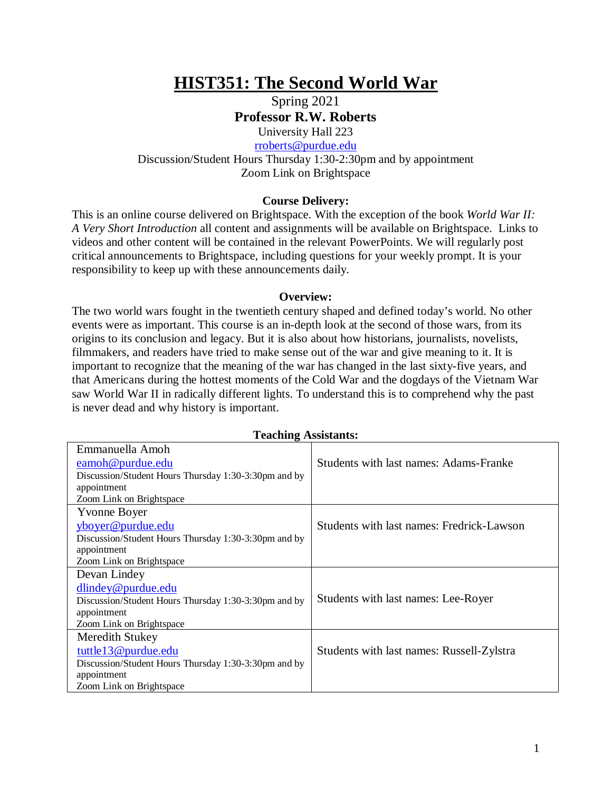# **HIST351: The Second World War**

Spring 2021 **Professor R.W. Roberts**

University Hall 223 [rroberts@purdue.edu](mailto:rroberts@purdue.edu)

Discussion/Student Hours Thursday 1:30-2:30pm and by appointment Zoom Link on Brightspace

## **Course Delivery:**

This is an online course delivered on Brightspace. With the exception of the book *World War II: A Very Short Introduction* all content and assignments will be available on Brightspace. Links to videos and other content will be contained in the relevant PowerPoints. We will regularly post critical announcements to Brightspace, including questions for your weekly prompt. It is your responsibility to keep up with these announcements daily.

## **Overview:**

The two world wars fought in the twentieth century shaped and defined today's world. No other events were as important. This course is an in-depth look at the second of those wars, from its origins to its conclusion and legacy. But it is also about how historians, journalists, novelists, filmmakers, and readers have tried to make sense out of the war and give meaning to it. It is important to recognize that the meaning of the war has changed in the last sixty-five years, and that Americans during the hottest moments of the Cold War and the dogdays of the Vietnam War saw World War II in radically different lights. To understand this is to comprehend why the past is never dead and why history is important.

| <b>Teaching Assistants:</b>                          |                                           |  |  |
|------------------------------------------------------|-------------------------------------------|--|--|
| Emmanuella Amoh                                      |                                           |  |  |
| eamoh@purdue.edu                                     | Students with last names: Adams-Franke    |  |  |
| Discussion/Student Hours Thursday 1:30-3:30pm and by |                                           |  |  |
| appointment                                          |                                           |  |  |
| Zoom Link on Brightspace                             |                                           |  |  |
| Yvonne Boyer                                         |                                           |  |  |
| yboyer@purdue.edu                                    | Students with last names: Fredrick-Lawson |  |  |
| Discussion/Student Hours Thursday 1:30-3:30pm and by |                                           |  |  |
| appointment                                          |                                           |  |  |
| Zoom Link on Brightspace                             |                                           |  |  |
| Devan Lindey                                         |                                           |  |  |
| $d$ lindey@purdue.edu                                |                                           |  |  |
| Discussion/Student Hours Thursday 1:30-3:30pm and by | Students with last names: Lee-Royer       |  |  |
| appointment                                          |                                           |  |  |
| Zoom Link on Brightspace                             |                                           |  |  |
| Meredith Stukey                                      |                                           |  |  |
| tuttle13@purdue.edu                                  | Students with last names: Russell-Zylstra |  |  |
| Discussion/Student Hours Thursday 1:30-3:30pm and by |                                           |  |  |
| appointment                                          |                                           |  |  |
| Zoom Link on Brightspace                             |                                           |  |  |

1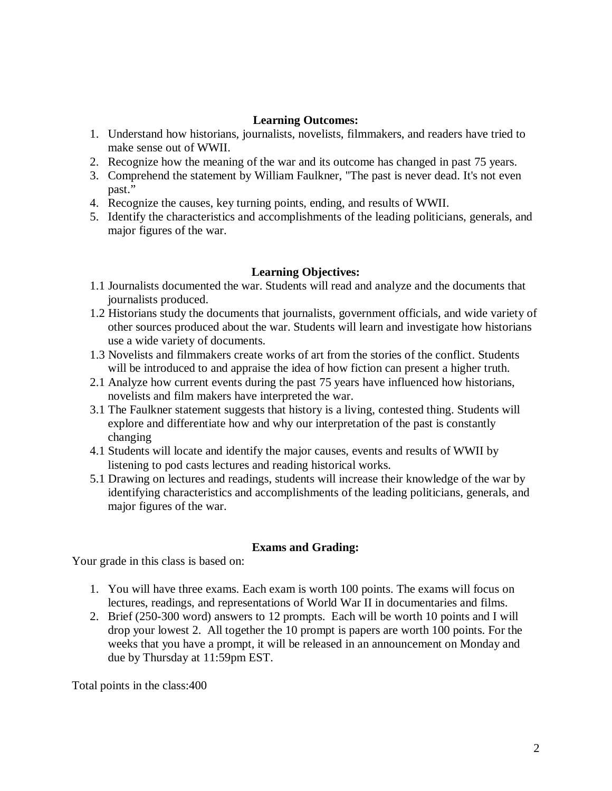## **Learning Outcomes:**

- 1. Understand how historians, journalists, novelists, filmmakers, and readers have tried to make sense out of WWII.
- 2. Recognize how the meaning of the war and its outcome has changed in past 75 years.
- 3. Comprehend the statement by William Faulkner, "The past is never dead. It's not even past."
- 4. Recognize the causes, key turning points, ending, and results of WWII.
- 5. Identify the characteristics and accomplishments of the leading politicians, generals, and major figures of the war.

# **Learning Objectives:**

- 1.1 Journalists documented the war. Students will read and analyze and the documents that journalists produced.
- 1.2 Historians study the documents that journalists, government officials, and wide variety of other sources produced about the war. Students will learn and investigate how historians use a wide variety of documents.
- 1.3 Novelists and filmmakers create works of art from the stories of the conflict. Students will be introduced to and appraise the idea of how fiction can present a higher truth.
- 2.1 Analyze how current events during the past 75 years have influenced how historians, novelists and film makers have interpreted the war.
- 3.1 The Faulkner statement suggests that history is a living, contested thing. Students will explore and differentiate how and why our interpretation of the past is constantly changing
- 4.1 Students will locate and identify the major causes, events and results of WWII by listening to pod casts lectures and reading historical works.
- 5.1 Drawing on lectures and readings, students will increase their knowledge of the war by identifying characteristics and accomplishments of the leading politicians, generals, and major figures of the war.

# **Exams and Grading:**

Your grade in this class is based on:

- 1. You will have three exams. Each exam is worth 100 points. The exams will focus on lectures, readings, and representations of World War II in documentaries and films.
- 2. Brief (250-300 word) answers to 12 prompts. Each will be worth 10 points and I will drop your lowest 2. All together the 10 prompt is papers are worth 100 points. For the weeks that you have a prompt, it will be released in an announcement on Monday and due by Thursday at 11:59pm EST.

Total points in the class:400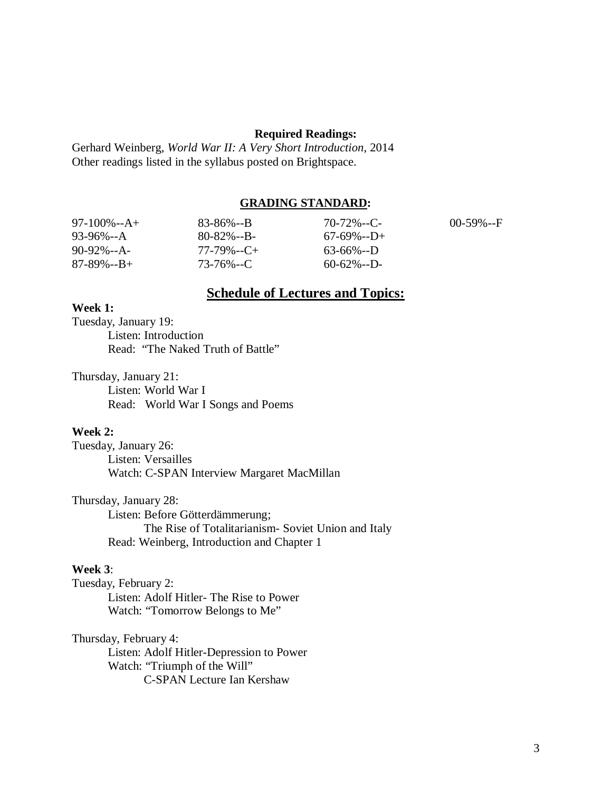#### **Required Readings:**

Gerhard Weinberg, *World War II: A Very Short Introduction*, 2014 Other readings listed in the syllabus posted on Brightspace.

## **GRADING STANDARD:**

| $97-100\% - A +$  | $83 - 86\% - B$ | $70 - 72\% - C$   | $00-59\% - F$ |
|-------------------|-----------------|-------------------|---------------|
| $93-96\% - A$     | $80 - 82\% - B$ | $67 - 69\% - D +$ |               |
| $90-92\% - A$     | $77-79\% -C+$   | $63-66\% - D$     |               |
| $87 - 89\% - B +$ | 73-76%--C       | $60 - 62\% - D$   |               |

# **Schedule of Lectures and Topics:**

## **Week 1:**

Tuesday, January 19: Listen: Introduction Read: "The Naked Truth of Battle"

Thursday, January 21: Listen: World War I Read: World War I Songs and Poems

## **Week 2:**

Tuesday, January 26: Listen: Versailles Watch: C-SPAN Interview Margaret MacMillan

Thursday, January 28: Listen: Before Götterdämmerung; The Rise of Totalitarianism- Soviet Union and Italy Read: Weinberg, Introduction and Chapter 1

#### **Week 3**:

Tuesday, February 2: Listen: Adolf Hitler- The Rise to Power Watch: "Tomorrow Belongs to Me"

## Thursday, February 4:

Listen: Adolf Hitler-Depression to Power Watch: "Triumph of the Will" C-SPAN Lecture Ian Kershaw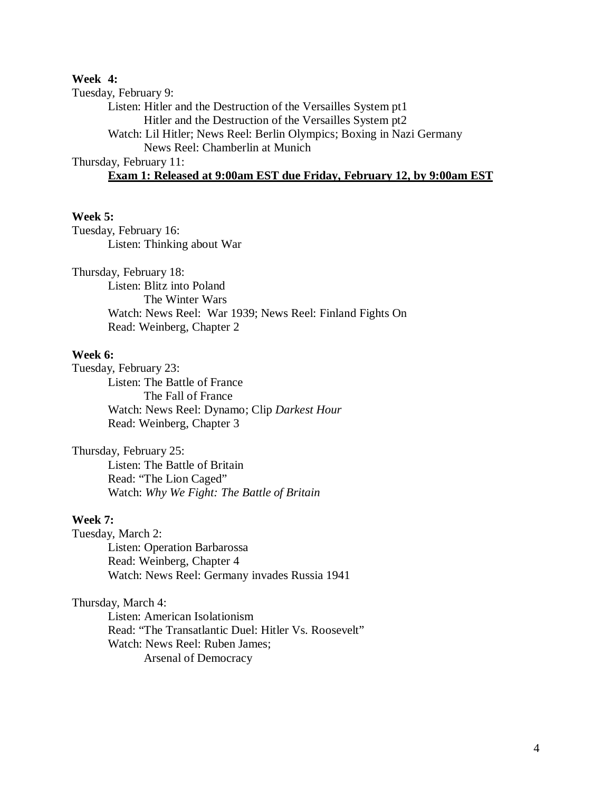## **Week 4:**

Tuesday, February 9: Listen: Hitler and the Destruction of the Versailles System pt1 Hitler and the Destruction of the Versailles System pt2 Watch: Lil Hitler; News Reel: Berlin Olympics; Boxing in Nazi Germany News Reel: Chamberlin at Munich Thursday, February 11: **Exam 1: Released at 9:00am EST due Friday, February 12, by 9:00am EST**

## **Week 5:**

Tuesday, February 16: Listen: Thinking about War

Thursday, February 18:

Listen: Blitz into Poland The Winter Wars Watch: News Reel: War 1939; News Reel: Finland Fights On Read: Weinberg, Chapter 2

#### **Week 6:**

Tuesday, February 23: Listen: The Battle of France The Fall of France Watch: News Reel: Dynamo; Clip *Darkest Hour* Read: Weinberg, Chapter 3

Thursday, February 25: Listen: The Battle of Britain Read: "The Lion Caged" Watch: *Why We Fight: The Battle of Britain*

#### **Week 7:**

Tuesday, March 2: Listen: Operation Barbarossa Read: Weinberg, Chapter 4 Watch: News Reel: Germany invades Russia 1941

## Thursday, March 4:

Listen: American Isolationism Read: "The Transatlantic Duel: Hitler Vs. Roosevelt" Watch: News Reel: Ruben James; Arsenal of Democracy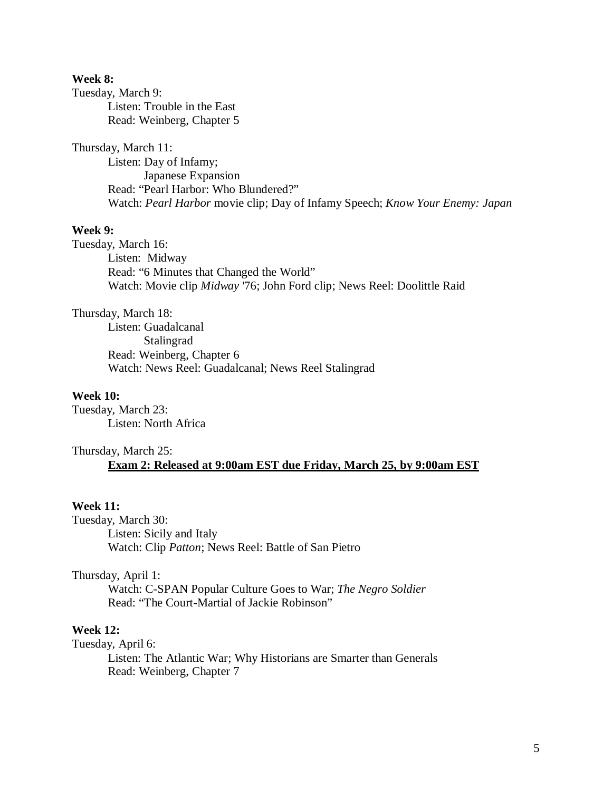## **Week 8:**

Tuesday, March 9:

Listen: Trouble in the East Read: Weinberg, Chapter 5

## Thursday, March 11:

Listen: Day of Infamy; Japanese Expansion Read: "Pearl Harbor: Who Blundered?" Watch: *Pearl Harbor* movie clip; Day of Infamy Speech; *Know Your Enemy: Japan*

## **Week 9:**

Tuesday, March 16: Listen: Midway Read: "6 Minutes that Changed the World" Watch: Movie clip *Midway* '76; John Ford clip; News Reel: Doolittle Raid

Thursday, March 18:

Listen: Guadalcanal Stalingrad Read: Weinberg, Chapter 6 Watch: News Reel: Guadalcanal; News Reel Stalingrad

## **Week 10:**

Tuesday, March 23: Listen: North Africa

# Thursday, March 25: **Exam 2: Released at 9:00am EST due Friday, March 25, by 9:00am EST**

## **Week 11:**

Tuesday, March 30: Listen: Sicily and Italy Watch: Clip *Patton*; News Reel: Battle of San Pietro

Thursday, April 1:

Watch: C-SPAN Popular Culture Goes to War; *The Negro Soldier* Read: "The Court-Martial of Jackie Robinson"

## **Week 12:**

Tuesday, April 6:

Listen: The Atlantic War; Why Historians are Smarter than Generals Read: Weinberg, Chapter 7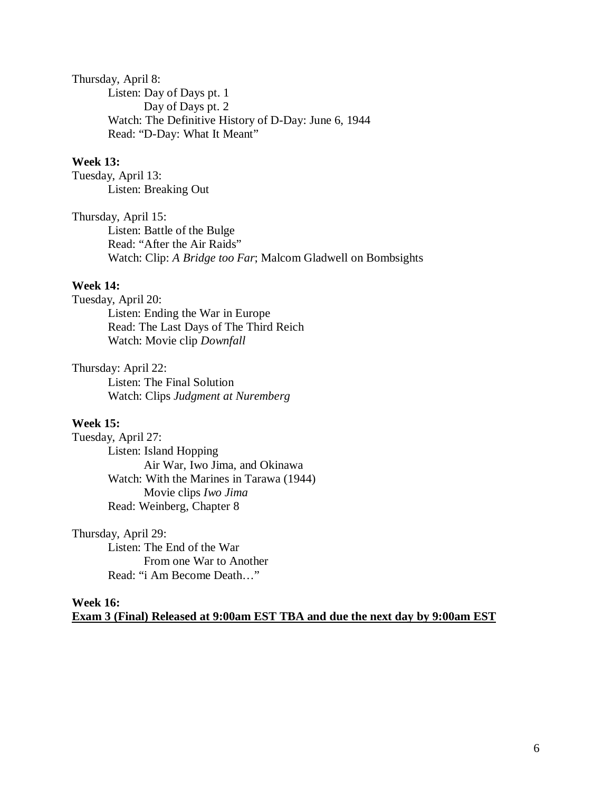Thursday, April 8: Listen: Day of Days pt. 1 Day of Days pt. 2 Watch: The Definitive History of D-Day: June 6, 1944 Read: "D-Day: What It Meant"

## **Week 13:**

Tuesday, April 13: Listen: Breaking Out

Thursday, April 15:

Listen: Battle of the Bulge Read: "After the Air Raids" Watch: Clip: *A Bridge too Far*; Malcom Gladwell on Bombsights

## **Week 14:**

Tuesday, April 20: Listen: Ending the War in Europe

Read: The Last Days of The Third Reich Watch: Movie clip *Downfall*

## Thursday: April 22:

Listen: The Final Solution Watch: Clips *Judgment at Nuremberg* 

## **Week 15:**

Tuesday, April 27: Listen: Island Hopping Air War, Iwo Jima, and Okinawa Watch: With the Marines in Tarawa (1944) Movie clips *Iwo Jima* Read: Weinberg, Chapter 8

## Thursday, April 29:

Listen: The End of the War From one War to Another Read: "i Am Become Death…"

## **Week 16: Exam 3 (Final) Released at 9:00am EST TBA and due the next day by 9:00am EST**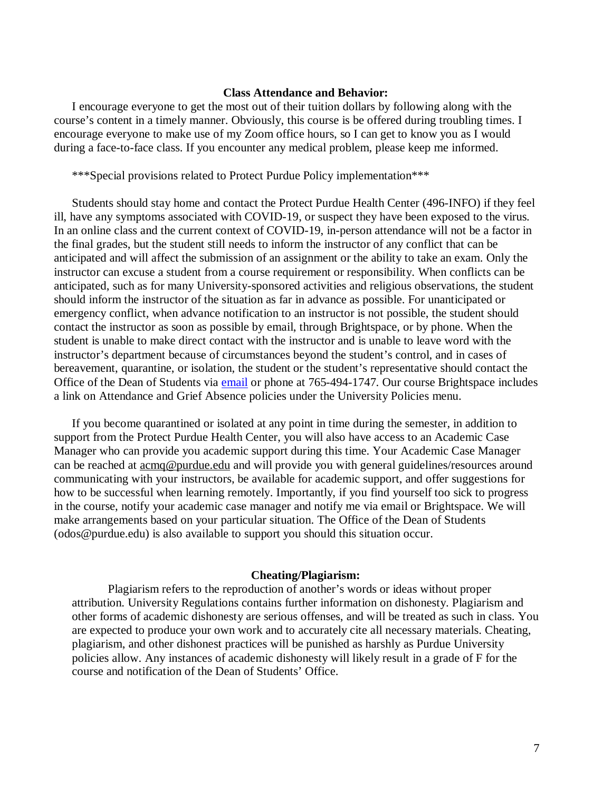#### **Class Attendance and Behavior:**

I encourage everyone to get the most out of their tuition dollars by following along with the course's content in a timely manner. Obviously, this course is be offered during troubling times. I encourage everyone to make use of my Zoom office hours, so I can get to know you as I would during a face-to-face class. If you encounter any medical problem, please keep me informed.

\*\*\*Special provisions related to Protect Purdue Policy implementation\*\*\*

Students should stay home and contact the Protect Purdue Health Center (496-INFO) if they feel ill, have any symptoms associated with COVID-19, or suspect they have been exposed to the virus*.*  In an online class and the current context of COVID-19, in-person attendance will not be a factor in the final grades, but the student still needs to inform the instructor of any conflict that can be anticipated and will affect the submission of an assignment or the ability to take an exam. Only the instructor can excuse a student from a course requirement or responsibility. When conflicts can be anticipated, such as for many University-sponsored activities and religious observations, the student should inform the instructor of the situation as far in advance as possible. For unanticipated or emergency conflict, when advance notification to an instructor is not possible, the student should contact the instructor as soon as possible by email, through Brightspace, or by phone. When the student is unable to make direct contact with the instructor and is unable to leave word with the instructor's department because of circumstances beyond the student's control, and in cases of bereavement, quarantine, or isolation, the student or the student's representative should contact the Office of the Dean of Students via [email](mailto:odos@purdue.edu%20?subject=Student%20Bereavement%20Needs) or phone at 765-494-1747. Our course Brightspace includes a link on Attendance and Grief Absence policies under the University Policies menu.

If you become quarantined or isolated at any point in time during the semester, in addition to support from the Protect Purdue Health Center, you will also have access to an Academic Case Manager who can provide you academic support during this time. Your Academic Case Manager can be reached at  $\frac{\text{acmq}\omega_{\text{purdue.edu}}}{\text{and}}$  and will provide you with general guidelines/resources around communicating with your instructors, be available for academic support, and offer suggestions for how to be successful when learning remotely. Importantly, if you find yourself too sick to progress in the course, notify your academic case manager and notify me via email or Brightspace. We will make arrangements based on your particular situation. The Office of the Dean of Students (odos@purdue.edu) is also available to support you should this situation occur.

#### **Cheating/Plagiarism:**

Plagiarism refers to the reproduction of another's words or ideas without proper attribution. University Regulations contains further information on dishonesty. Plagiarism and other forms of academic dishonesty are serious offenses, and will be treated as such in class. You are expected to produce your own work and to accurately cite all necessary materials. Cheating, plagiarism, and other dishonest practices will be punished as harshly as Purdue University policies allow. Any instances of academic dishonesty will likely result in a grade of F for the course and notification of the Dean of Students' Office.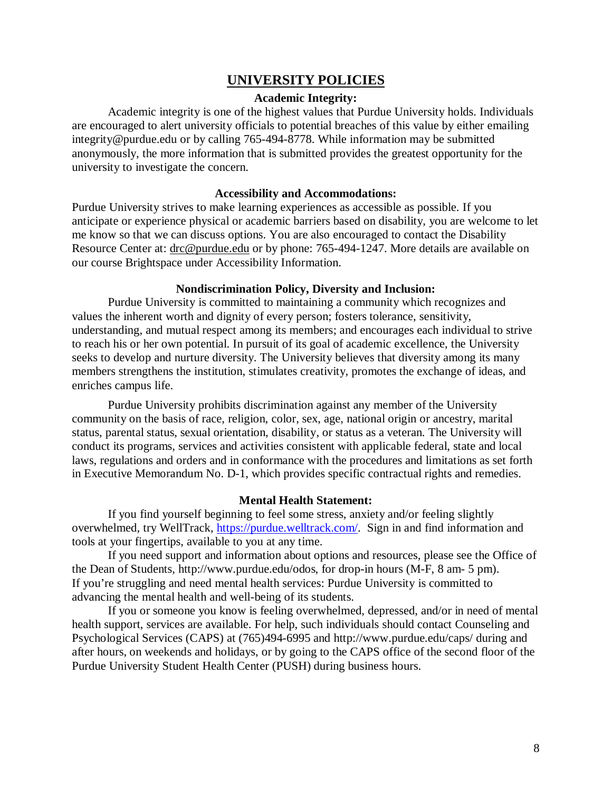# **UNIVERSITY POLICIES**

## **Academic Integrity:**

Academic integrity is one of the highest values that Purdue University holds. Individuals are encouraged to alert university officials to potential breaches of this value by either emailing integrity@purdue.edu or by calling 765-494-8778. While information may be submitted anonymously, the more information that is submitted provides the greatest opportunity for the university to investigate the concern.

## **Accessibility and Accommodations:**

Purdue University strives to make learning experiences as accessible as possible. If you anticipate or experience physical or academic barriers based on disability, you are welcome to let me know so that we can discuss options. You are also encouraged to contact the Disability Resource Center at: [drc@purdue.edu](mailto:drc@purdue.edu) or by phone: 765-494-1247. More details are available on our course Brightspace under Accessibility Information.

#### **Nondiscrimination Policy, Diversity and Inclusion:**

Purdue University is committed to maintaining a community which recognizes and values the inherent worth and dignity of every person; fosters tolerance, sensitivity, understanding, and mutual respect among its members; and encourages each individual to strive to reach his or her own potential. In pursuit of its goal of academic excellence, the University seeks to develop and nurture diversity. The University believes that diversity among its many members strengthens the institution, stimulates creativity, promotes the exchange of ideas, and enriches campus life.

Purdue University prohibits discrimination against any member of the University community on the basis of race, religion, color, sex, age, national origin or ancestry, marital status, parental status, sexual orientation, disability, or status as a veteran. The University will conduct its programs, services and activities consistent with applicable federal, state and local laws, regulations and orders and in conformance with the procedures and limitations as set forth in Executive Memorandum No. D-1, which provides specific contractual rights and remedies.

#### **Mental Health Statement:**

If you find yourself beginning to feel some stress, anxiety and/or feeling slightly overwhelmed, try WellTrack, [https://purdue.welltrack.com/.](https://purdue.welltrack.com/) Sign in and find information and tools at your fingertips, available to you at any time.

If you need support and information about options and resources, please see the Office of the Dean of Students, http://www.purdue.edu/odos, for drop-in hours (M-F, 8 am- 5 pm). If you're struggling and need mental health services: Purdue University is committed to advancing the mental health and well-being of its students.

If you or someone you know is feeling overwhelmed, depressed, and/or in need of mental health support, services are available. For help, such individuals should contact Counseling and Psychological Services (CAPS) at (765)494-6995 and http://www.purdue.edu/caps/ during and after hours, on weekends and holidays, or by going to the CAPS office of the second floor of the Purdue University Student Health Center (PUSH) during business hours.